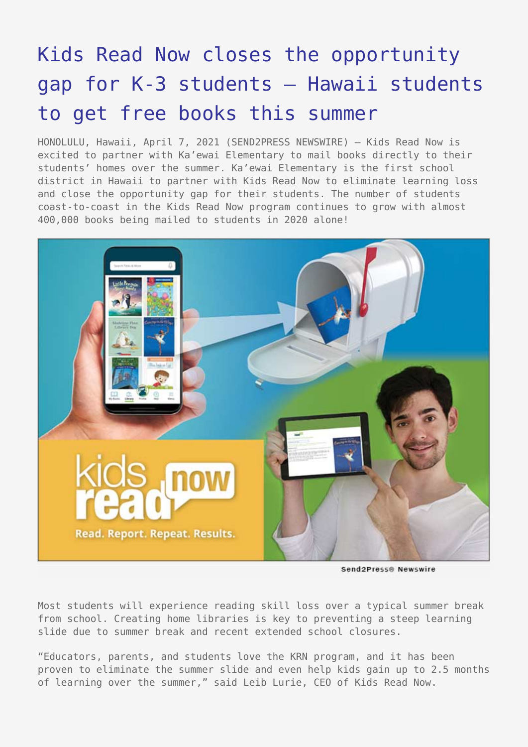## [Kids Read Now closes the opportunity](https://www.send2press.com/wire/kids-read-now-closes-the-opportunity-gap-for-k-3-students-hawaii-students-to-get-free-books-this-summer/) [gap for K-3 students – Hawaii students](https://www.send2press.com/wire/kids-read-now-closes-the-opportunity-gap-for-k-3-students-hawaii-students-to-get-free-books-this-summer/) [to get free books this summer](https://www.send2press.com/wire/kids-read-now-closes-the-opportunity-gap-for-k-3-students-hawaii-students-to-get-free-books-this-summer/)

HONOLULU, Hawaii, April 7, 2021 (SEND2PRESS NEWSWIRE) — Kids Read Now is excited to partner with Ka'ewai Elementary to mail books directly to their students' homes over the summer. Ka'ewai Elementary is the first school district in Hawaii to partner with Kids Read Now to eliminate learning loss and close the opportunity gap for their students. The number of students coast-to-coast in the Kids Read Now program continues to grow with almost 400,000 books being mailed to students in 2020 alone!



Send2Press® Newswire

Most students will experience reading skill loss over a typical summer break from school. Creating home libraries is key to preventing a steep learning slide due to summer break and recent extended school closures.

"Educators, parents, and students love the KRN program, and it has been proven to eliminate the summer slide and even help kids gain up to 2.5 months of learning over the summer," said Leib Lurie, CEO of Kids Read Now.